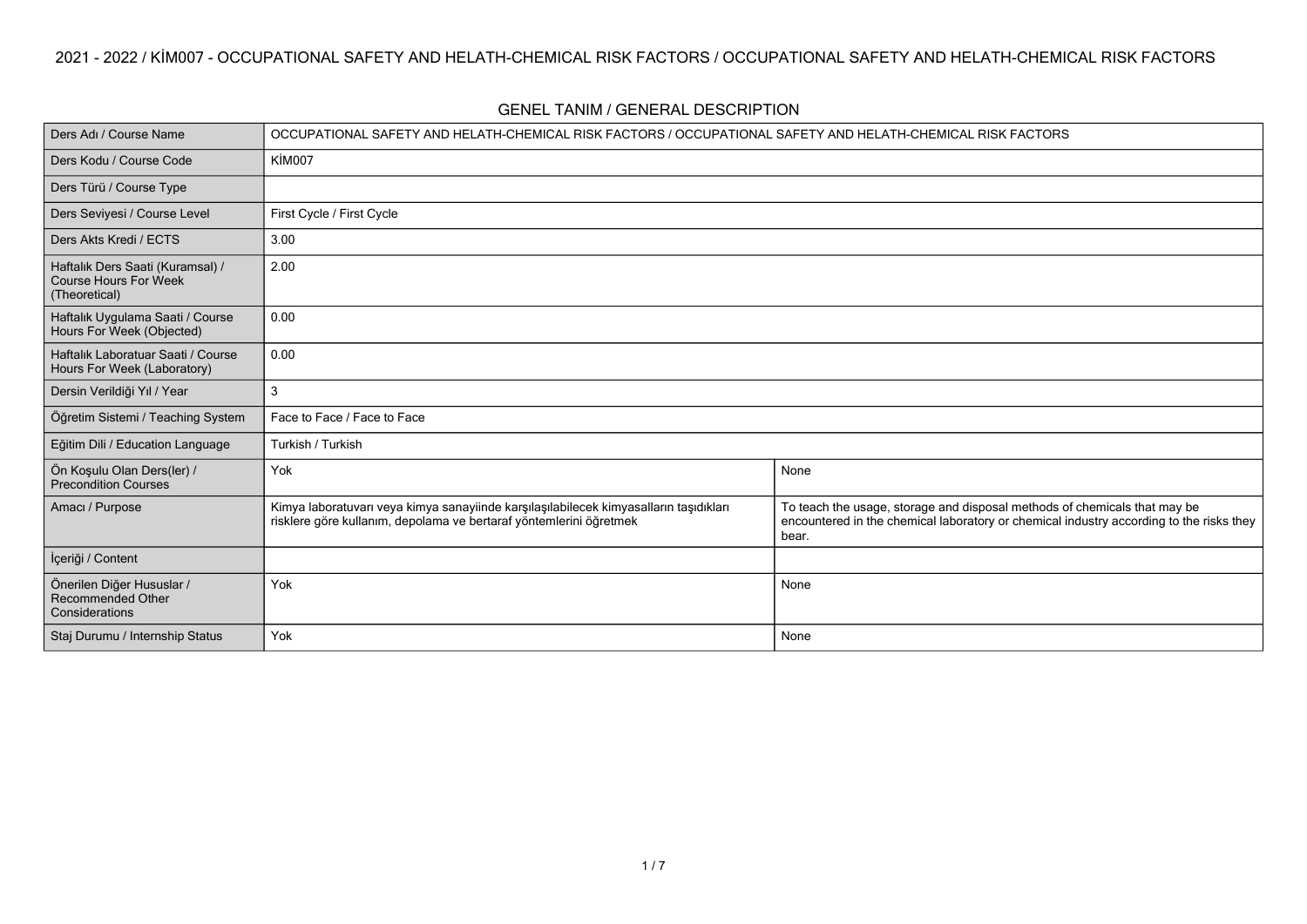| Ders Adı / Course Name                                                            | OCCUPATIONAL SAFETY AND HELATH-CHEMICAL RISK FACTORS / OCCUPATIONAL SAFETY AND HELATH-CHEMICAL RISK FACTORS                                                 |                                                                                                                                                                               |
|-----------------------------------------------------------------------------------|-------------------------------------------------------------------------------------------------------------------------------------------------------------|-------------------------------------------------------------------------------------------------------------------------------------------------------------------------------|
| Ders Kodu / Course Code                                                           | KİM007                                                                                                                                                      |                                                                                                                                                                               |
| Ders Türü / Course Type                                                           |                                                                                                                                                             |                                                                                                                                                                               |
| Ders Seviyesi / Course Level                                                      | First Cycle / First Cycle                                                                                                                                   |                                                                                                                                                                               |
| Ders Akts Kredi / ECTS                                                            | 3.00                                                                                                                                                        |                                                                                                                                                                               |
| Haftalık Ders Saati (Kuramsal) /<br><b>Course Hours For Week</b><br>(Theoretical) | 2.00                                                                                                                                                        |                                                                                                                                                                               |
| Haftalık Uygulama Saati / Course<br>Hours For Week (Objected)                     | 0.00                                                                                                                                                        |                                                                                                                                                                               |
| Haftalık Laboratuar Saati / Course<br>Hours For Week (Laboratory)                 | 0.00                                                                                                                                                        |                                                                                                                                                                               |
| Dersin Verildiği Yıl / Year                                                       | 3                                                                                                                                                           |                                                                                                                                                                               |
| Öğretim Sistemi / Teaching System                                                 | Face to Face / Face to Face                                                                                                                                 |                                                                                                                                                                               |
| Eğitim Dili / Education Language                                                  | Turkish / Turkish                                                                                                                                           |                                                                                                                                                                               |
| Ön Koşulu Olan Ders(ler) /<br>Precondition Courses                                | Yok                                                                                                                                                         | None                                                                                                                                                                          |
| Amacı / Purpose                                                                   | Kimya laboratuvarı veya kimya sanayiinde karşılaşılabilecek kimyasalların taşıdıkları<br>risklere göre kullanım, depolama ve bertaraf yöntemlerini öğretmek | To teach the usage, storage and disposal methods of chemicals that may be<br>encountered in the chemical laboratory or chemical industry according to the risks they<br>bear. |
| İçeriği / Content                                                                 |                                                                                                                                                             |                                                                                                                                                                               |
| Önerilen Diğer Hususlar /<br>Recommended Other<br>Considerations                  | Yok                                                                                                                                                         | None                                                                                                                                                                          |
| Staj Durumu / Internship Status                                                   | Yok                                                                                                                                                         | None                                                                                                                                                                          |

**GENEL TANIM / GENERAL DESCRIPTION**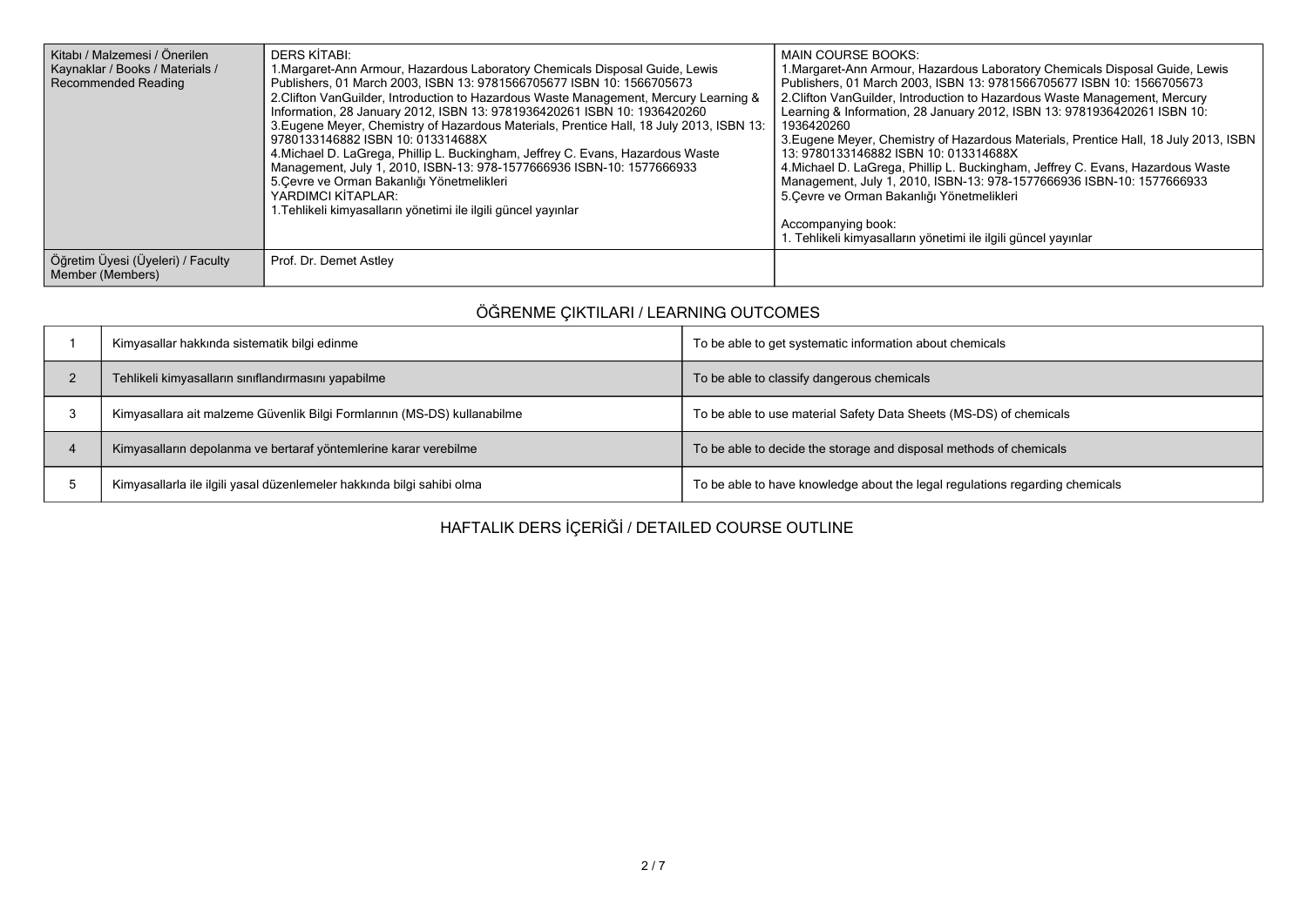| Kitabı / Malzemesi / Önerilen<br>Kaynaklar / Books / Materials /<br><b>Recommended Reading</b> | DERS KİTABI:<br>1. Margaret-Ann Armour, Hazardous Laboratory Chemicals Disposal Guide, Lewis<br>Publishers, 01 March 2003, ISBN 13: 9781566705677 ISBN 10: 1566705673<br>2. Clifton VanGuilder, Introduction to Hazardous Waste Management, Mercury Learning &<br>Information, 28 January 2012, ISBN 13: 9781936420261 ISBN 10: 1936420260<br>3. Eugene Meyer, Chemistry of Hazardous Materials, Prentice Hall, 18 July 2013, ISBN 13:<br>9780133146882 ISBN 10: 013314688X<br>4. Michael D. LaGrega, Phillip L. Buckingham, Jeffrey C. Evans, Hazardous Waste<br>Management, July 1, 2010, ISBN-13: 978-1577666936 ISBN-10: 1577666933<br>5. Cevre ve Orman Bakanlığı Yönetmelikleri<br>YARDIMCI KİTAPLAR:<br>1. Tehlikeli kimyasalların yönetimi ile ilgili güncel yayınlar | MAIN COURSE BOOKS:<br>1. Margaret-Ann Armour, Hazardous Laboratory Chemicals Disposal Guide, Lewis<br>Publishers, 01 March 2003, ISBN 13: 9781566705677 ISBN 10: 1566705673<br>2. Clifton VanGuilder, Introduction to Hazardous Waste Management, Mercury<br>Learning & Information, 28 January 2012, ISBN 13: 9781936420261 ISBN 10:<br>1936420260<br>3. Eugene Meyer, Chemistry of Hazardous Materials, Prentice Hall, 18 July 2013, ISBN<br>13: 9780133146882 ISBN 10: 013314688X<br>4. Michael D. LaGrega, Phillip L. Buckingham, Jeffrey C. Evans, Hazardous Waste<br>Management, July 1, 2010, ISBN-13: 978-1577666936 ISBN-10: 1577666933<br>5. Cevre ve Orman Bakanlığı Yönetmelikleri<br>Accompanying book:<br>1. Tehlikeli kimyasalların yönetimi ile ilgili güncel yayınlar |
|------------------------------------------------------------------------------------------------|-------------------------------------------------------------------------------------------------------------------------------------------------------------------------------------------------------------------------------------------------------------------------------------------------------------------------------------------------------------------------------------------------------------------------------------------------------------------------------------------------------------------------------------------------------------------------------------------------------------------------------------------------------------------------------------------------------------------------------------------------------------------------------|----------------------------------------------------------------------------------------------------------------------------------------------------------------------------------------------------------------------------------------------------------------------------------------------------------------------------------------------------------------------------------------------------------------------------------------------------------------------------------------------------------------------------------------------------------------------------------------------------------------------------------------------------------------------------------------------------------------------------------------------------------------------------------------|
| Öğretim Üyesi (Üyeleri) / Faculty<br>Member (Members)                                          | Prof. Dr. Demet Astley                                                                                                                                                                                                                                                                                                                                                                                                                                                                                                                                                                                                                                                                                                                                                        |                                                                                                                                                                                                                                                                                                                                                                                                                                                                                                                                                                                                                                                                                                                                                                                        |

## **ÖĞRENME ÇIKTILARI / LEARNING OUTCOMES**

| Kimyasallar hakkında sistematik bilgi edinme                             | To be able to get systematic information about chemicals                     |
|--------------------------------------------------------------------------|------------------------------------------------------------------------------|
| Tehlikeli kimyasalların sınıflandırmasını yapabilme                      | To be able to classify dangerous chemicals                                   |
| Kimyasallara ait malzeme Güvenlik Bilgi Formlarının (MS-DS) kullanabilme | To be able to use material Safety Data Sheets (MS-DS) of chemicals           |
| Kimyasalların depolanma ve bertaraf yöntemlerine karar verebilme         | To be able to decide the storage and disposal methods of chemicals           |
| Kimyasallarla ile ilgili yasal düzenlemeler hakkında bilgi sahibi olma   | To be able to have knowledge about the legal regulations regarding chemicals |

**HAFTALIK DERS İÇERİĞİ / DETAILED COURSE OUTLINE**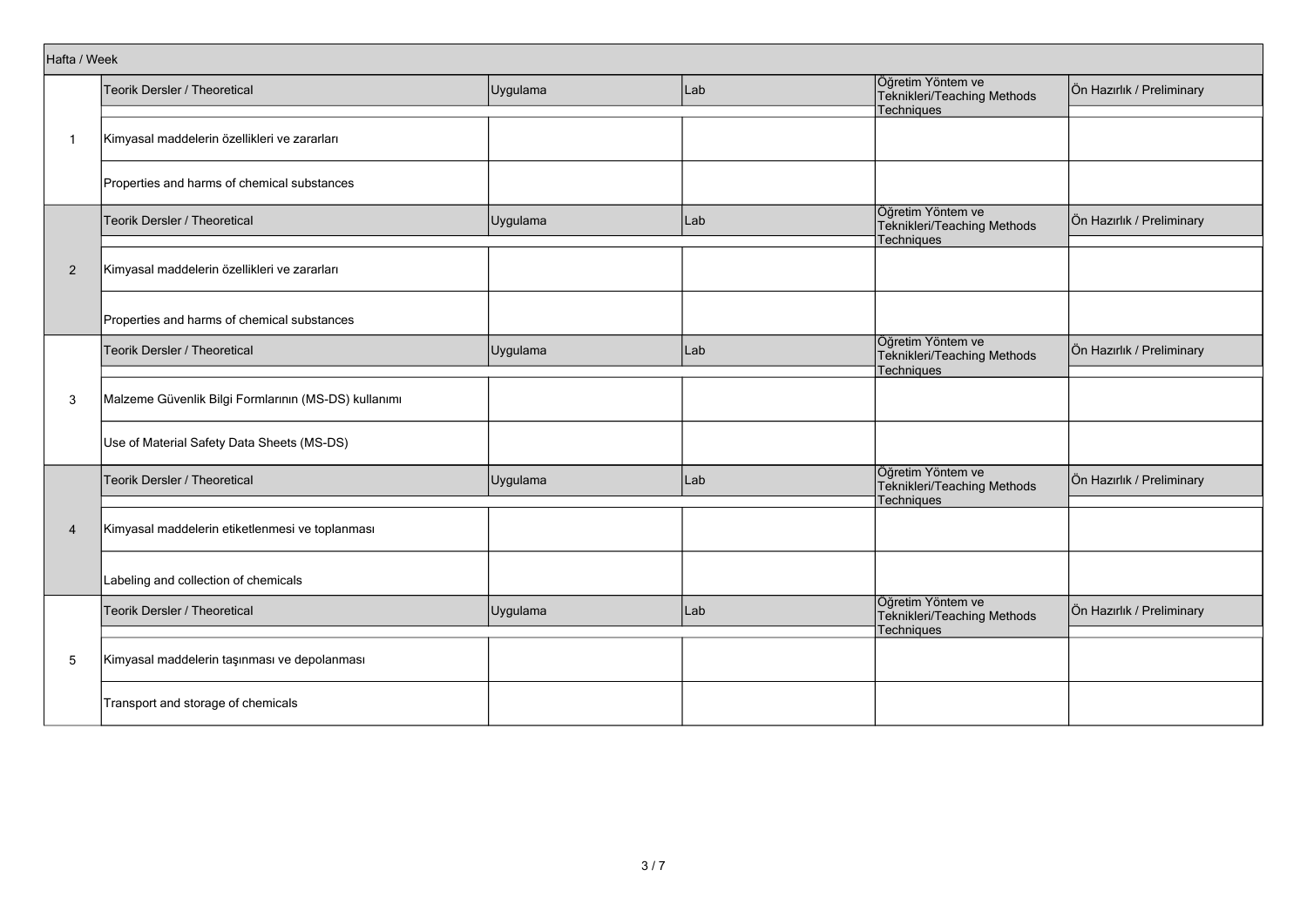|                | Hafta / Week                                         |          |     |                                                                |                           |  |  |  |
|----------------|------------------------------------------------------|----------|-----|----------------------------------------------------------------|---------------------------|--|--|--|
|                | Teorik Dersler / Theoretical                         | Uygulama | Lab | Öğretim Yöntem ve<br>Teknikleri/Teaching Methods               | Ön Hazırlık / Preliminary |  |  |  |
|                |                                                      |          |     | Techniques                                                     |                           |  |  |  |
| $\mathbf{1}$   | Kimyasal maddelerin özellikleri ve zararları         |          |     |                                                                |                           |  |  |  |
|                | Properties and harms of chemical substances          |          |     |                                                                |                           |  |  |  |
|                | Teorik Dersler / Theoretical                         | Uygulama | Lab | Öğretim Yöntem ve<br>Teknikleri/Teaching Methods<br>Techniques | Ön Hazırlık / Preliminary |  |  |  |
| $\overline{2}$ | Kimyasal maddelerin özellikleri ve zararları         |          |     |                                                                |                           |  |  |  |
|                | Properties and harms of chemical substances          |          |     |                                                                |                           |  |  |  |
|                | Teorik Dersler / Theoretical                         | Uygulama | Lab | Öğretim Yöntem ve<br>Teknikleri/Teaching Methods<br>Techniques | Ön Hazırlık / Preliminary |  |  |  |
| 3              | Malzeme Güvenlik Bilgi Formlarının (MS-DS) kullanımı |          |     |                                                                |                           |  |  |  |
|                | Use of Material Safety Data Sheets (MS-DS)           |          |     |                                                                |                           |  |  |  |
|                | Teorik Dersler / Theoretical                         | Uygulama | Lab | Öğretim Yöntem ve<br>Teknikleri/Teaching Methods<br>Techniques | Ön Hazırlık / Preliminary |  |  |  |
| $\overline{4}$ | Kimyasal maddelerin etiketlenmesi ve toplanması      |          |     |                                                                |                           |  |  |  |
|                | Labeling and collection of chemicals                 |          |     |                                                                |                           |  |  |  |
|                | Teorik Dersler / Theoretical                         | Uygulama | Lab | Öğretim Yöntem ve<br>Teknikleri/Teaching Methods<br>Techniques | Ön Hazırlık / Preliminary |  |  |  |
| 5              | Kimyasal maddelerin taşınması ve depolanması         |          |     |                                                                |                           |  |  |  |
|                | Transport and storage of chemicals                   |          |     |                                                                |                           |  |  |  |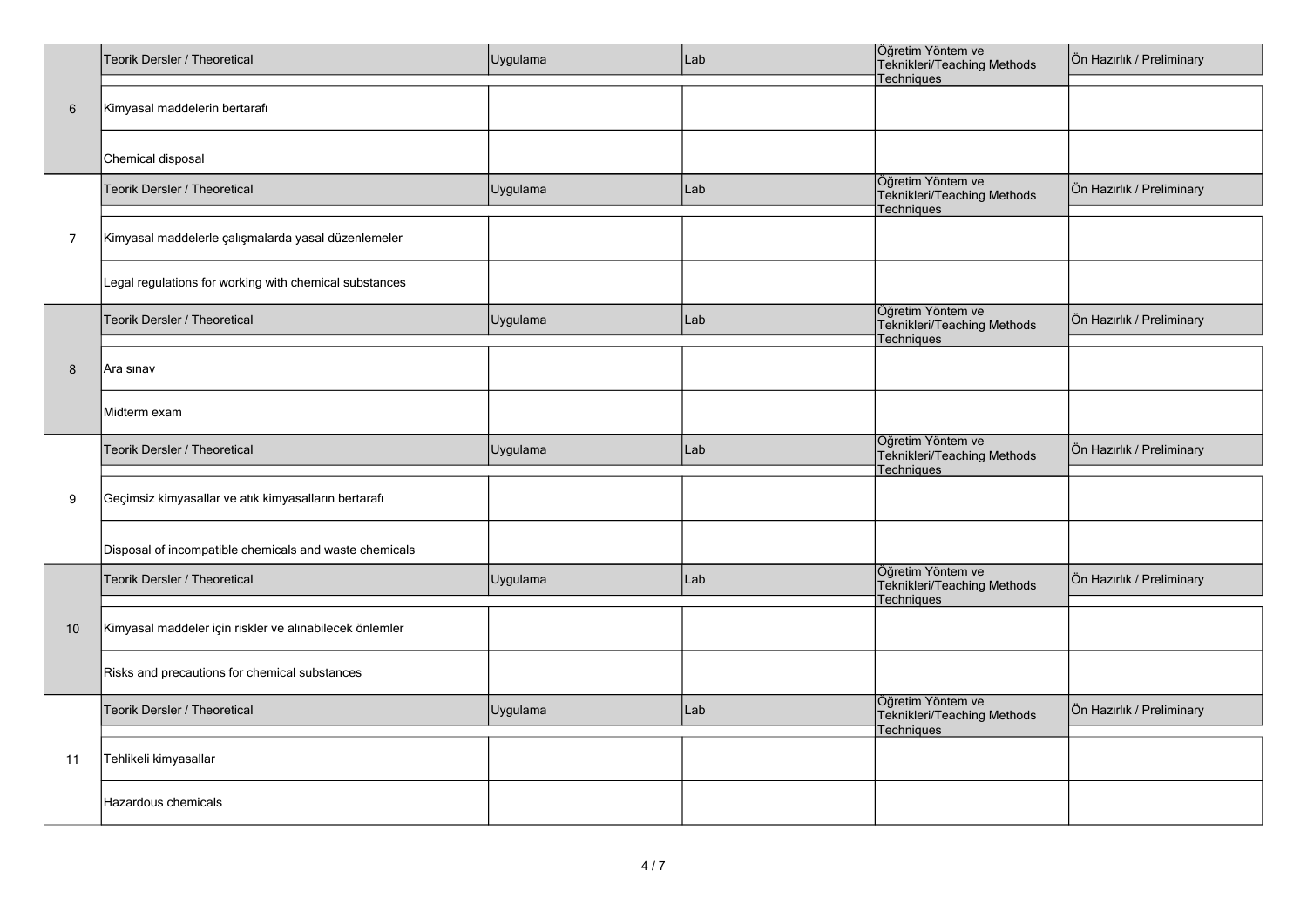|                | Teorik Dersler / Theoretical                            | Uygulama | Lab | Öğretim Yöntem ve<br>Teknikleri/Teaching Methods<br>Techniques | Ön Hazırlık / Preliminary |
|----------------|---------------------------------------------------------|----------|-----|----------------------------------------------------------------|---------------------------|
| $\,6\,$        | Kimyasal maddelerin bertarafı                           |          |     |                                                                |                           |
|                | Chemical disposal                                       |          |     |                                                                |                           |
|                | Teorik Dersler / Theoretical                            | Uygulama | Lab | Öğretim Yöntem ve<br>Teknikleri/Teaching Methods<br>Techniques | Ön Hazırlık / Preliminary |
| $\overline{7}$ | Kimyasal maddelerle çalışmalarda yasal düzenlemeler     |          |     |                                                                |                           |
|                | Legal regulations for working with chemical substances  |          |     |                                                                |                           |
|                | Teorik Dersler / Theoretical                            | Uygulama | Lab | Öğretim Yöntem ve<br>Teknikleri/Teaching Methods<br>Techniques | Ön Hazırlık / Preliminary |
| 8              | Ara sınav                                               |          |     |                                                                |                           |
|                | Midterm exam                                            |          |     |                                                                |                           |
|                | Teorik Dersler / Theoretical                            | Uygulama | Lab | Öğretim Yöntem ve<br>Teknikleri/Teaching Methods<br>Techniques | Ön Hazırlık / Preliminary |
| 9              | Geçimsiz kimyasallar ve atık kimyasalların bertarafı    |          |     |                                                                |                           |
|                | Disposal of incompatible chemicals and waste chemicals  |          |     |                                                                |                           |
|                | Teorik Dersler / Theoretical                            | Uygulama | Lab | Öğretim Yöntem ve<br>Teknikleri/Teaching Methods<br>Techniques | Ön Hazırlık / Preliminary |
| 10             | Kimyasal maddeler için riskler ve alınabilecek önlemler |          |     |                                                                |                           |
|                | Risks and precautions for chemical substances           |          |     |                                                                |                           |
|                | Teorik Dersler / Theoretical                            | Uygulama | Lab | Öğretim Yöntem ve<br>Teknikleri/Teaching Methods<br>Techniques | Ön Hazırlık / Preliminary |
| 11             | Tehlikeli kimyasallar                                   |          |     |                                                                |                           |
|                | Hazardous chemicals                                     |          |     |                                                                |                           |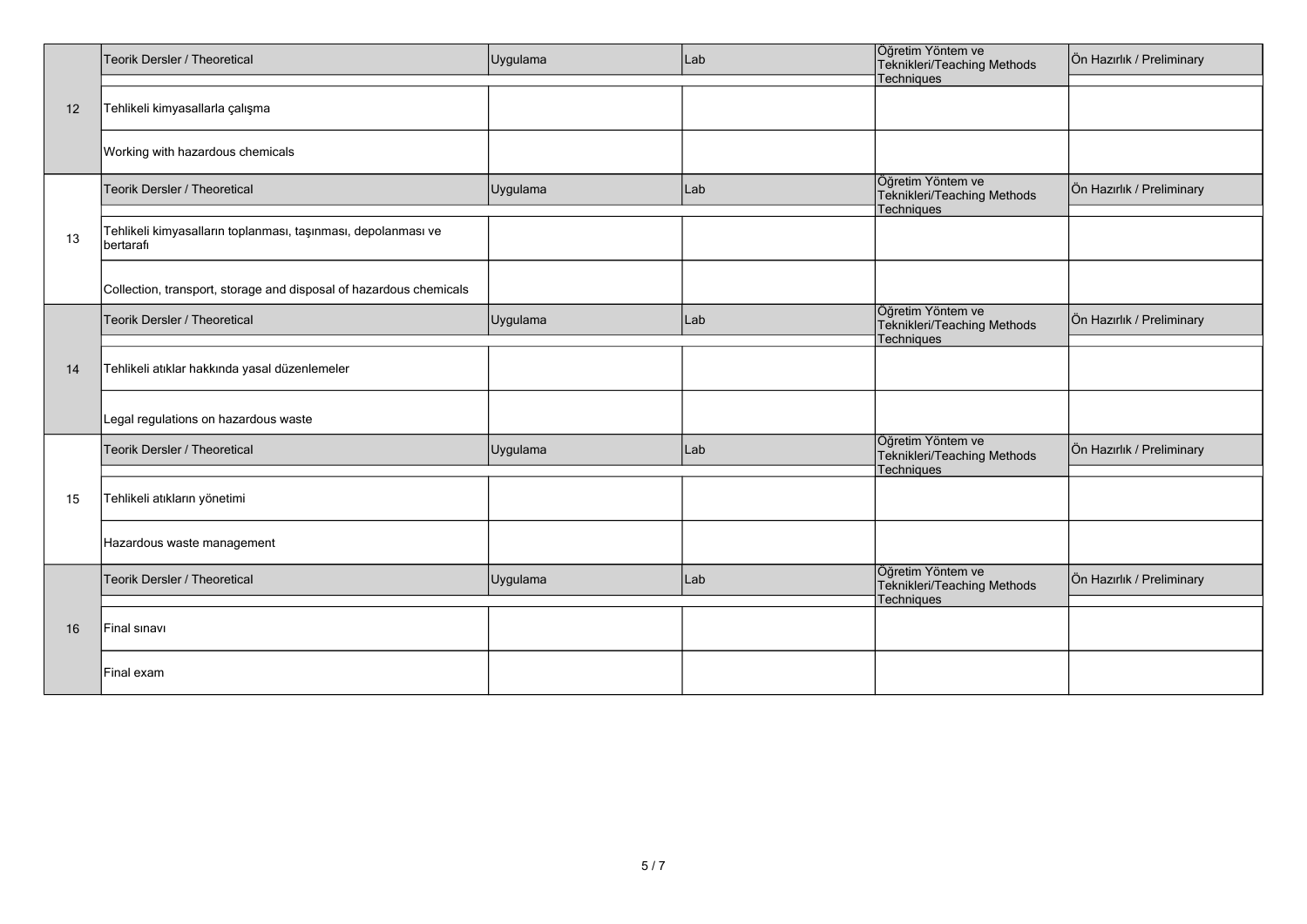|    | Teorik Dersler / Theoretical                                               | Uygulama | Lab | Öğretim Yöntem ve<br>Teknikleri/Teaching Methods<br>Techniques | Ön Hazırlık / Preliminary |
|----|----------------------------------------------------------------------------|----------|-----|----------------------------------------------------------------|---------------------------|
| 12 | Tehlikeli kimyasallarla çalışma                                            |          |     |                                                                |                           |
|    | Working with hazardous chemicals                                           |          |     |                                                                |                           |
|    | Teorik Dersler / Theoretical                                               | Uygulama | Lab | Öğretim Yöntem ve<br>Teknikleri/Teaching Methods<br>Techniques | Ön Hazırlık / Preliminary |
| 13 | Tehlikeli kimyasalların toplanması, taşınması, depolanması ve<br>bertarafi |          |     |                                                                |                           |
|    | Collection, transport, storage and disposal of hazardous chemicals         |          |     |                                                                |                           |
|    | <b>Teorik Dersler / Theoretical</b>                                        | Uygulama | Lab | Öğretim Yöntem ve<br>Teknikleri/Teaching Methods<br>Techniques | Ön Hazırlık / Preliminary |
| 14 | Tehlikeli atıklar hakkında yasal düzenlemeler                              |          |     |                                                                |                           |
|    | Legal regulations on hazardous waste                                       |          |     |                                                                |                           |
|    | Teorik Dersler / Theoretical                                               | Uygulama | Lab | Öğretim Yöntem ve<br>Teknikleri/Teaching Methods<br>Techniques | Ön Hazırlık / Preliminary |
| 15 | Tehlikeli atıkların yönetimi                                               |          |     |                                                                |                           |
|    | Hazardous waste management                                                 |          |     |                                                                |                           |
|    | Teorik Dersler / Theoretical                                               | Uygulama | Lab | Öğretim Yöntem ve<br>Teknikleri/Teaching Methods<br>Techniques | Ön Hazırlık / Preliminary |
| 16 | Final sinavi                                                               |          |     |                                                                |                           |
|    | Final exam                                                                 |          |     |                                                                |                           |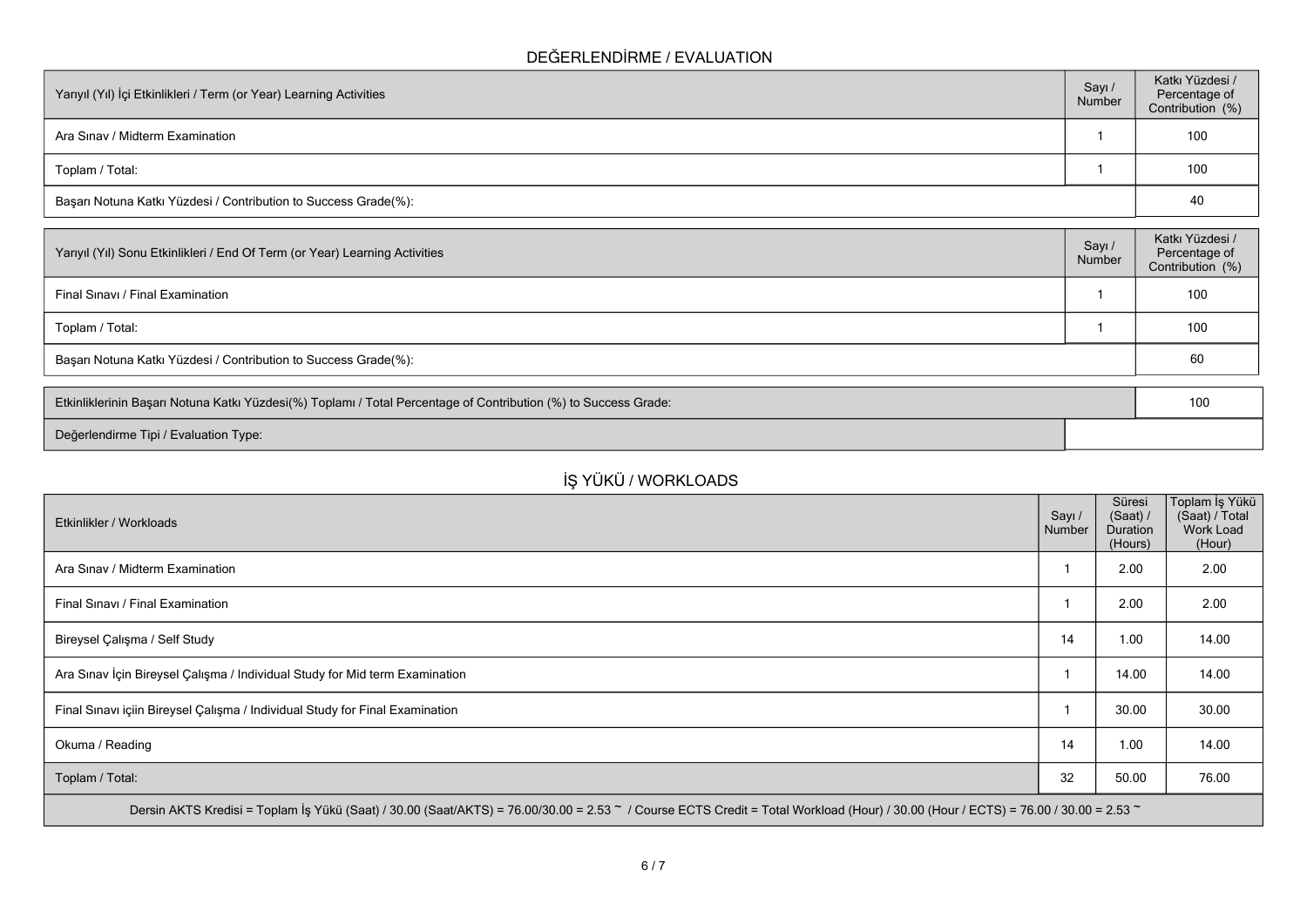## **DEĞERLENDİRME / EVALUATION**

| Yarıyıl (Yıl) İçi Etkinlikleri / Term (or Year) Learning Activities | Sayı/<br>Number | Katkı Yüzdesi /<br>Percentage of<br>Contribution (%) |
|---------------------------------------------------------------------|-----------------|------------------------------------------------------|
| Ara Sinav / Midterm Examination                                     |                 | 100                                                  |
| Toplam / Total:                                                     |                 | 100                                                  |
| Başarı Notuna Katkı Yüzdesi / Contribution to Success Grade(%):     |                 | 40                                                   |

| Yarıyıl (Yıl) Sonu Etkinlikleri / End Of Term (or Year) Learning Activities | Sayı/<br>Number | Katkı Yüzdesi /<br>Percentage of<br>Contribution (%) |
|-----------------------------------------------------------------------------|-----------------|------------------------------------------------------|
| Final Sinavi / Final Examination                                            |                 | 100                                                  |
| Toplam / Total:                                                             |                 | 100                                                  |
| Başarı Notuna Katkı Yüzdesi / Contribution to Success Grade(%):             |                 | 60                                                   |

| Etkinliklerinin Başarı Notuna Katkı Yüzdesi(%) Toplamı / Total Percentage of Contribution (%) to Success Grade: |  | 10 <sup>C</sup> |  |
|-----------------------------------------------------------------------------------------------------------------|--|-----------------|--|
| Değerlendirme Tipi / Evaluation Type:                                                                           |  |                 |  |

## **İŞ YÜKÜ / WORKLOADS**

| Etkinlikler / Workloads                                                                                                                                                            | Sayı /<br>Number | Süresi<br>(Saat) /<br><b>Duration</b><br>(Hours) | Toplam İş Yükü<br>(Saat) / Total<br>Work Load<br>(Hour) |
|------------------------------------------------------------------------------------------------------------------------------------------------------------------------------------|------------------|--------------------------------------------------|---------------------------------------------------------|
| Ara Sinav / Midterm Examination                                                                                                                                                    |                  | 2.00                                             | 2.00                                                    |
| Final Sinavi / Final Examination                                                                                                                                                   |                  | 2.00                                             | 2.00                                                    |
| Bireysel Çalışma / Self Study                                                                                                                                                      | 14               | 1.00                                             | 14.00                                                   |
| Ara Sınav İçin Bireysel Çalışma / Individual Study for Mid term Examination                                                                                                        |                  | 14.00                                            | 14.00                                                   |
| Final Sinavi içiin Bireysel Çalışma / Individual Study for Final Examination                                                                                                       |                  | 30.00                                            | 30.00                                                   |
| Okuma / Reading                                                                                                                                                                    | 14               | 1.00                                             | 14.00                                                   |
| Toplam / Total:                                                                                                                                                                    | 32               | 50.00                                            | 76.00                                                   |
| Dersin AKTS Kredisi = Toplam İş Yükü (Saat) / 30.00 (Saat/AKTS) = 76.00/30.00 = 2.53 ~ / Course ECTS Credit = Total Workload (Hour) / 30.00 (Hour / ECTS) = 76.00 / 30.00 = 2.53 ~ |                  |                                                  |                                                         |